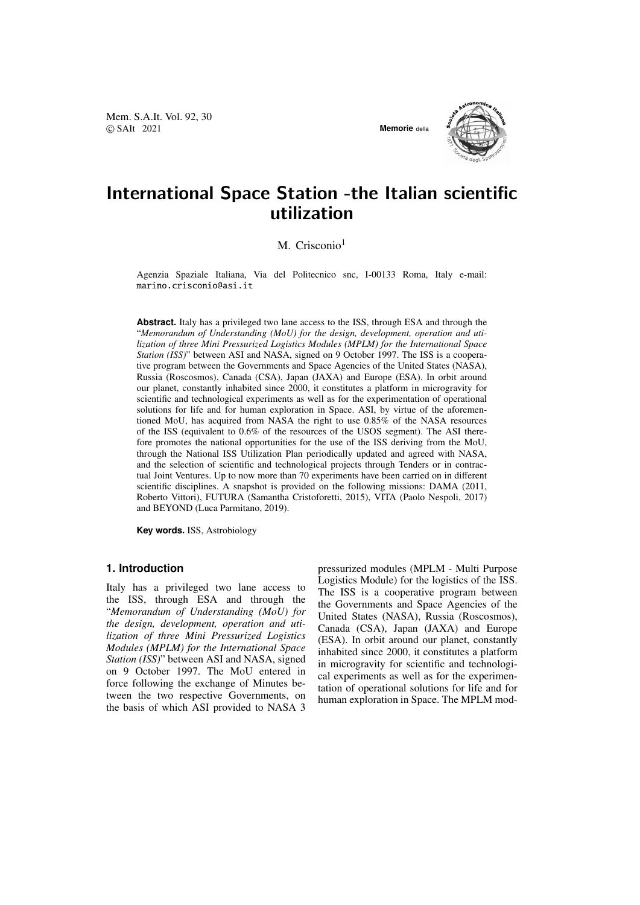Mem. S.A.It. Vol. 92, 30 © SAIt 2021 **Memorie** della





# International Space Station -the Italian scientific utilization

M. Crisconio<sup>1</sup>

Agenzia Spaziale Italiana, Via del Politecnico snc, I-00133 Roma, Italy e-mail: marino.crisconio@asi.it

**Abstract.** Italy has a privileged two lane access to the ISS, through ESA and through the "*Memorandum of Understanding (MoU) for the design, development, operation and utilization of three Mini Pressurized Logistics Modules (MPLM) for the International Space Station (ISS)*" between ASI and NASA, signed on 9 October 1997. The ISS is a cooperative program between the Governments and Space Agencies of the United States (NASA), Russia (Roscosmos), Canada (CSA), Japan (JAXA) and Europe (ESA). In orbit around our planet, constantly inhabited since 2000, it constitutes a platform in microgravity for scientific and technological experiments as well as for the experimentation of operational solutions for life and for human exploration in Space. ASI, by virtue of the aforementioned MoU, has acquired from NASA the right to use 0.85% of the NASA resources of the ISS (equivalent to 0.6% of the resources of the USOS segment). The ASI therefore promotes the national opportunities for the use of the ISS deriving from the MoU, through the National ISS Utilization Plan periodically updated and agreed with NASA, and the selection of scientific and technological projects through Tenders or in contractual Joint Ventures. Up to now more than 70 experiments have been carried on in different scientific disciplines. A snapshot is provided on the following missions: DAMA (2011, Roberto Vittori), FUTURA (Samantha Cristoforetti, 2015), VITA (Paolo Nespoli, 2017) and BEYOND (Luca Parmitano, 2019).

**Key words.** ISS, Astrobiology

## **1. Introduction**

Italy has a privileged two lane access to the ISS, through ESA and through the "*Memorandum of Understanding (MoU) for the design, development, operation and utilization of three Mini Pressurized Logistics Modules (MPLM) for the International Space Station (ISS)*" between ASI and NASA, signed on 9 October 1997. The MoU entered in force following the exchange of Minutes between the two respective Governments, on the basis of which ASI provided to NASA 3 pressurized modules (MPLM - Multi Purpose Logistics Module) for the logistics of the ISS. The ISS is a cooperative program between the Governments and Space Agencies of the United States (NASA), Russia (Roscosmos), Canada (CSA), Japan (JAXA) and Europe (ESA). In orbit around our planet, constantly inhabited since 2000, it constitutes a platform in microgravity for scientific and technological experiments as well as for the experimentation of operational solutions for life and for human exploration in Space. The MPLM mod-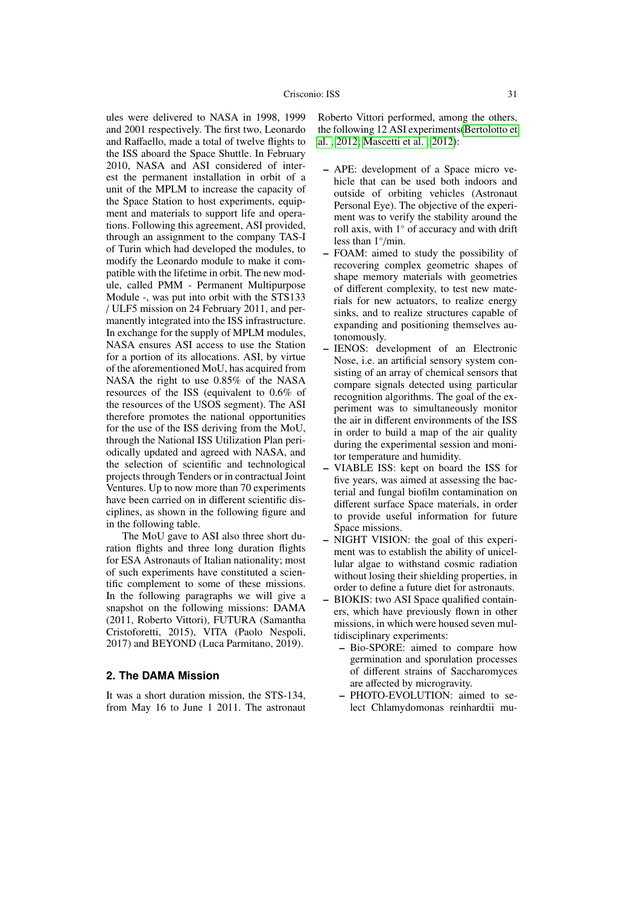ules were delivered to NASA in 1998, 1999 and 2001 respectively. The first two, Leonardo and Raffaello, made a total of twelve flights to the ISS aboard the Space Shuttle. In February 2010, NASA and ASI considered of interest the permanent installation in orbit of a unit of the MPLM to increase the capacity of the Space Station to host experiments, equipment and materials to support life and operations. Following this agreement, ASI provided, through an assignment to the company TAS-I of Turin which had developed the modules, to modify the Leonardo module to make it compatible with the lifetime in orbit. The new module, called PMM - Permanent Multipurpose Module -, was put into orbit with the STS133 / ULF5 mission on 24 February 2011, and permanently integrated into the ISS infrastructure. In exchange for the supply of MPLM modules, NASA ensures ASI access to use the Station for a portion of its allocations. ASI, by virtue of the aforementioned MoU, has acquired from NASA the right to use 0.85% of the NASA resources of the ISS (equivalent to 0.6% of the resources of the USOS segment). The ASI therefore promotes the national opportunities for the use of the ISS deriving from the MoU, through the National ISS Utilization Plan periodically updated and agreed with NASA, and the selection of scientific and technological projects through Tenders or in contractual Joint Ventures. Up to now more than 70 experiments have been carried on in different scientific disciplines, as shown in the following figure and in the following table.

The MoU gave to ASI also three short duration flights and three long duration flights for ESA Astronauts of Italian nationality; most of such experiments have constituted a scientific complement to some of these missions. In the following paragraphs we will give a snapshot on the following missions: DAMA (2011, Roberto Vittori), FUTURA (Samantha Cristoforetti, 2015), VITA (Paolo Nespoli, 2017) and BEYOND (Luca Parmitano, 2019).

#### **2. The DAMA Mission**

It was a short duration mission, the STS-134, from May 16 to June 1 2011. The astronaut Roberto Vittori performed, among the others, the following 12 ASI experiments[\(Bertolotto et](#page-7-0) [al. , 2012;](#page-7-0) [Mascetti et al. , 2012\)](#page-7-1):

- APE: development of a Space micro vehicle that can be used both indoors and outside of orbiting vehicles (Astronaut Personal Eye). The objective of the experiment was to verify the stability around the roll axis, with 1◦ of accuracy and with drift less than 1◦ /min.
- FOAM: aimed to study the possibility of recovering complex geometric shapes of shape memory materials with geometries of different complexity, to test new materials for new actuators, to realize energy sinks, and to realize structures capable of expanding and positioning themselves autonomously.
- IENOS: development of an Electronic Nose, i.e. an artificial sensory system consisting of an array of chemical sensors that compare signals detected using particular recognition algorithms. The goal of the experiment was to simultaneously monitor the air in different environments of the ISS in order to build a map of the air quality during the experimental session and monitor temperature and humidity.
- VIABLE ISS: kept on board the ISS for five years, was aimed at assessing the bacterial and fungal biofilm contamination on different surface Space materials, in order to provide useful information for future Space missions.
- NIGHT VISION: the goal of this experiment was to establish the ability of unicellular algae to withstand cosmic radiation without losing their shielding properties, in order to define a future diet for astronauts.
- BIOKIS: two ASI Space qualified containers, which have previously flown in other missions, in which were housed seven multidisciplinary experiments:
	- Bio-SPORE: aimed to compare how germination and sporulation processes of different strains of Saccharomyces are affected by microgravity.
	- PHOTO-EVOLUTION: aimed to select Chlamydomonas reinhardtii mu-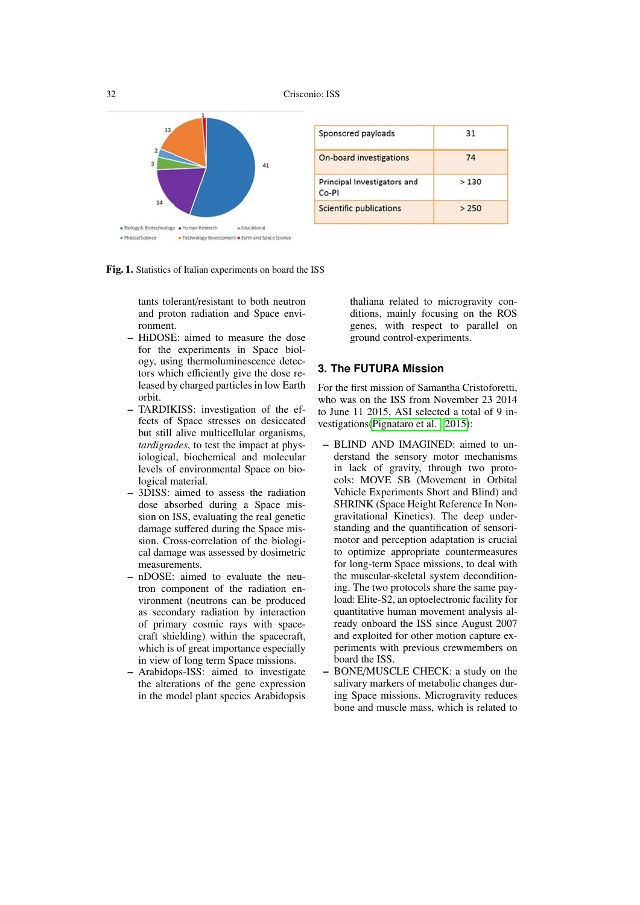32 Crisconio: ISS



| Sponsored payloads                   | 31    |
|--------------------------------------|-------|
| On-board investigations              | 74    |
| Principal Investigators and<br>Co-PI | >130  |
| Scientific publications              | > 250 |

Fig. 1. Statistics of Italian experiments on board the ISS

tants tolerant/resistant to both neutron and proton radiation and Space environment.

- HiDOSE: aimed to measure the dose for the experiments in Space biology, using thermoluminescence detectors which efficiently give the dose released by charged particles in low Earth orbit.
- TARDIKISS: investigation of the effects of Space stresses on desiccated but still alive multicellular organisms, *tardigrades*, to test the impact at physiological, biochemical and molecular levels of environmental Space on biological material.
- 3DISS: aimed to assess the radiation dose absorbed during a Space mission on ISS, evaluating the real genetic damage suffered during the Space mission. Cross-correlation of the biological damage was assessed by dosimetric measurements.
- nDOSE: aimed to evaluate the neutron component of the radiation environment (neutrons can be produced as secondary radiation by interaction of primary cosmic rays with spacecraft shielding) within the spacecraft, which is of great importance especially in view of long term Space missions.
- Arabidops-ISS: aimed to investigate the alterations of the gene expression in the model plant species Arabidopsis

thaliana related to microgravity conditions, mainly focusing on the ROS genes, with respect to parallel on ground control-experiments.

## **3. The FUTURA Mission**

For the first mission of Samantha Cristoforetti, who was on the ISS from November 23 2014 to June 11 2015, ASI selected a total of 9 investigations[\(Pignataro et al. , 2015\)](#page-7-2):

- BLIND AND IMAGINED: aimed to understand the sensory motor mechanisms in lack of gravity, through two protocols: MOVE SB (Movement in Orbital Vehicle Experiments Short and Blind) and SHRINK (Space Height Reference In Nongravitational Kinetics). The deep understanding and the quantification of sensorimotor and perception adaptation is crucial to optimize appropriate countermeasures for long-term Space missions, to deal with the muscular-skeletal system deconditioning. The two protocols share the same payload: Elite-S2, an optoelectronic facility for quantitative human movement analysis already onboard the ISS since August 2007 and exploited for other motion capture experiments with previous crewmembers on board the ISS.
- BONE/MUSCLE CHECK: a study on the salivary markers of metabolic changes during Space missions. Microgravity reduces bone and muscle mass, which is related to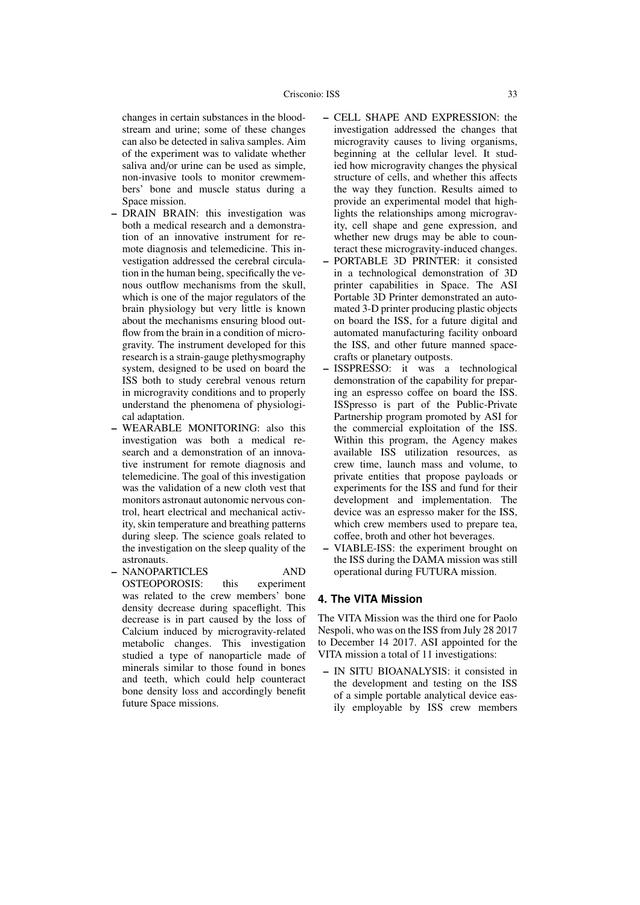changes in certain substances in the bloodstream and urine; some of these changes can also be detected in saliva samples. Aim of the experiment was to validate whether saliva and/or urine can be used as simple, non-invasive tools to monitor crewmembers' bone and muscle status during a Space mission.

- DRAIN BRAIN: this investigation was both a medical research and a demonstration of an innovative instrument for remote diagnosis and telemedicine. This investigation addressed the cerebral circulation in the human being, specifically the venous outflow mechanisms from the skull, which is one of the major regulators of the brain physiology but very little is known about the mechanisms ensuring blood outflow from the brain in a condition of microgravity. The instrument developed for this research is a strain-gauge plethysmography system, designed to be used on board the ISS both to study cerebral venous return in microgravity conditions and to properly understand the phenomena of physiological adaptation.
- WEARABLE MONITORING: also this investigation was both a medical research and a demonstration of an innovative instrument for remote diagnosis and telemedicine. The goal of this investigation was the validation of a new cloth vest that monitors astronaut autonomic nervous control, heart electrical and mechanical activity, skin temperature and breathing patterns during sleep. The science goals related to the investigation on the sleep quality of the astronauts.
- NANOPARTICLES AND OSTEOPOROSIS: this experiment was related to the crew members' bone density decrease during spaceflight. This decrease is in part caused by the loss of Calcium induced by microgravity-related metabolic changes. This investigation studied a type of nanoparticle made of minerals similar to those found in bones and teeth, which could help counteract bone density loss and accordingly benefit future Space missions.
- CELL SHAPE AND EXPRESSION: the investigation addressed the changes that microgravity causes to living organisms, beginning at the cellular level. It studied how microgravity changes the physical structure of cells, and whether this affects the way they function. Results aimed to provide an experimental model that highlights the relationships among microgravity, cell shape and gene expression, and whether new drugs may be able to counteract these microgravity-induced changes.
- PORTABLE 3D PRINTER: it consisted in a technological demonstration of 3D printer capabilities in Space. The ASI Portable 3D Printer demonstrated an automated 3-D printer producing plastic objects on board the ISS, for a future digital and automated manufacturing facility onboard the ISS, and other future manned spacecrafts or planetary outposts.
- ISSPRESSO: it was a technological demonstration of the capability for preparing an espresso coffee on board the ISS. ISSpresso is part of the Public-Private Partnership program promoted by ASI for the commercial exploitation of the ISS. Within this program, the Agency makes available ISS utilization resources, as crew time, launch mass and volume, to private entities that propose payloads or experiments for the ISS and fund for their development and implementation. The device was an espresso maker for the ISS, which crew members used to prepare tea, coffee, broth and other hot beverages.
- VIABLE-ISS: the experiment brought on the ISS during the DAMA mission was still operational during FUTURA mission.

#### **4. The VITA Mission**

The VITA Mission was the third one for Paolo Nespoli, who was on the ISS from July 28 2017 to December 14 2017. ASI appointed for the VITA mission a total of 11 investigations:

– IN SITU BIOANALYSIS: it consisted in the development and testing on the ISS of a simple portable analytical device easily employable by ISS crew members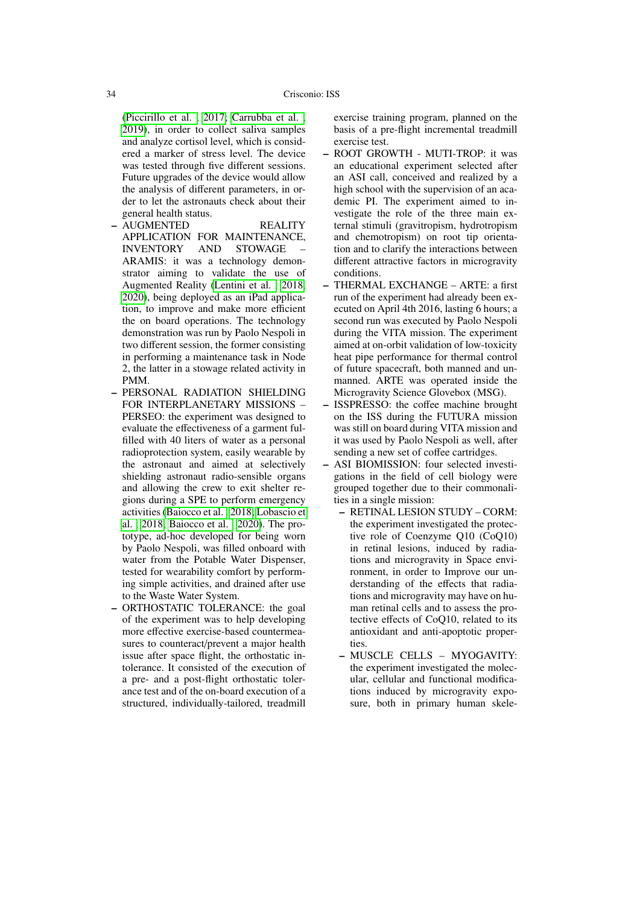[\(Piccirillo et al. , 2017;](#page-7-3) [Carrubba et al. ,](#page-7-4) [2019\)](#page-7-4), in order to collect saliva samples and analyze cortisol level, which is considered a marker of stress level. The device was tested through five different sessions. Future upgrades of the device would allow the analysis of different parameters, in order to let the astronauts check about their general health status.

- AUGMENTED REALITY APPLICATION FOR MAINTENANCE, INVENTORY AND STOWAGE – ARAMIS: it was a technology demonstrator aiming to validate the use of Augmented Reality [\(Lentini et al. , 2018,](#page-7-5) [2020\)](#page-7-6), being deployed as an iPad application, to improve and make more efficient the on board operations. The technology demonstration was run by Paolo Nespoli in two different session, the former consisting in performing a maintenance task in Node 2, the latter in a stowage related activity in PMM.
- PERSONAL RADIATION SHIELDING FOR INTERPLANETARY MISSIONS – PERSEO: the experiment was designed to evaluate the effectiveness of a garment fulfilled with 40 liters of water as a personal radioprotection system, easily wearable by the astronaut and aimed at selectively shielding astronaut radio-sensible organs and allowing the crew to exit shelter regions during a SPE to perform emergency activities [\(Baiocco et al. , 2018;](#page-6-0) [Lobascio et](#page-7-7) [al. , 2018;](#page-7-7) [Baiocco et al. , 2020\)](#page-6-1). The prototype, ad-hoc developed for being worn by Paolo Nespoli, was filled onboard with water from the Potable Water Dispenser, tested for wearability comfort by performing simple activities, and drained after use to the Waste Water System.
- ORTHOSTATIC TOLERANCE: the goal of the experiment was to help developing more effective exercise-based countermeasures to counteract/prevent a major health issue after space flight, the orthostatic intolerance. It consisted of the execution of a pre- and a post-flight orthostatic tolerance test and of the on-board execution of a structured, individually-tailored, treadmill

exercise training program, planned on the basis of a pre-flight incremental treadmill exercise test.

- ROOT GROWTH MUTI-TROP: it was an educational experiment selected after an ASI call, conceived and realized by a high school with the supervision of an academic PI. The experiment aimed to investigate the role of the three main external stimuli (gravitropism, hydrotropism and chemotropism) on root tip orientation and to clarify the interactions between different attractive factors in microgravity conditions.
- THERMAL EXCHANGE ARTE: a first run of the experiment had already been executed on April 4th 2016, lasting 6 hours; a second run was executed by Paolo Nespoli during the VITA mission. The experiment aimed at on-orbit validation of low-toxicity heat pipe performance for thermal control of future spacecraft, both manned and unmanned. ARTE was operated inside the Microgravity Science Glovebox (MSG).
- ISSPRESSO: the coffee machine brought on the ISS during the FUTURA mission was still on board during VITA mission and it was used by Paolo Nespoli as well, after sending a new set of coffee cartridges.
- ASI BIOMISSION: four selected investigations in the field of cell biology were grouped together due to their commonalities in a single mission:
	- RETINAL LESION STUDY CORM: the experiment investigated the protective role of Coenzyme Q10 (CoQ10) in retinal lesions, induced by radiations and microgravity in Space environment, in order to Improve our understanding of the effects that radiations and microgravity may have on human retinal cells and to assess the protective effects of CoQ10, related to its antioxidant and anti-apoptotic properties.
	- MUSCLE CELLS MYOGAVITY: the experiment investigated the molecular, cellular and functional modifications induced by microgravity exposure, both in primary human skele-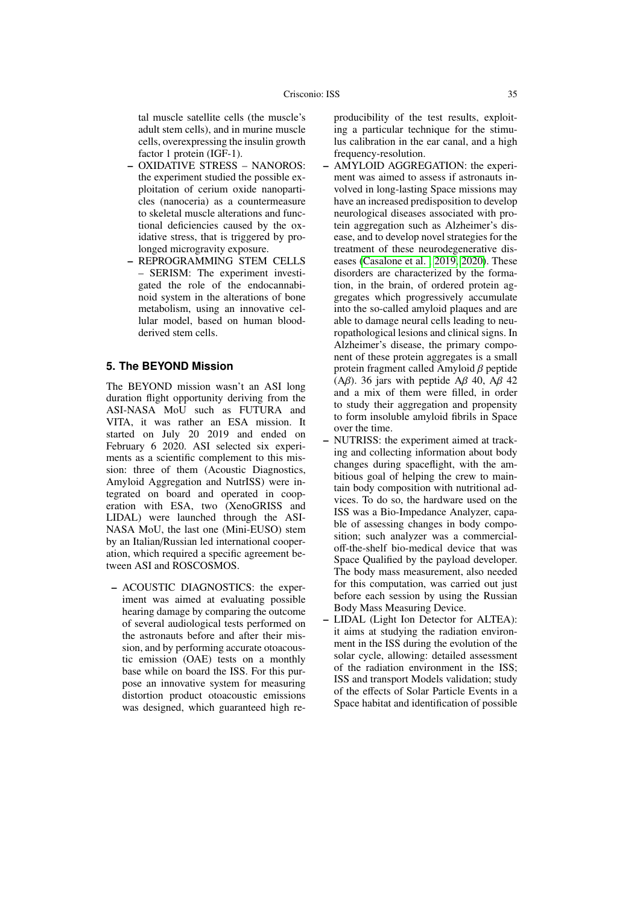tal muscle satellite cells (the muscle's adult stem cells), and in murine muscle cells, overexpressing the insulin growth factor 1 protein (IGF-1).

- OXIDATIVE STRESS NANOROS: the experiment studied the possible exploitation of cerium oxide nanoparticles (nanoceria) as a countermeasure to skeletal muscle alterations and functional deficiencies caused by the oxidative stress, that is triggered by prolonged microgravity exposure.
- REPROGRAMMING STEM CELLS – SERISM: The experiment investigated the role of the endocannabinoid system in the alterations of bone metabolism, using an innovative cellular model, based on human bloodderived stem cells.

## **5. The BEYOND Mission**

The BEYOND mission wasn't an ASI long duration flight opportunity deriving from the ASI-NASA MoU such as FUTURA and VITA, it was rather an ESA mission. It started on July 20 2019 and ended on February 6 2020. ASI selected six experiments as a scientific complement to this mission: three of them (Acoustic Diagnostics, Amyloid Aggregation and NutrISS) were integrated on board and operated in cooperation with ESA, two (XenoGRISS and LIDAL) were launched through the ASI-NASA MoU, the last one (Mini-EUSO) stem by an Italian/Russian led international cooperation, which required a specific agreement between ASI and ROSCOSMOS.

– ACOUSTIC DIAGNOSTICS: the experiment was aimed at evaluating possible hearing damage by comparing the outcome of several audiological tests performed on the astronauts before and after their mission, and by performing accurate otoacoustic emission (OAE) tests on a monthly base while on board the ISS. For this purpose an innovative system for measuring distortion product otoacoustic emissions was designed, which guaranteed high reproducibility of the test results, exploiting a particular technique for the stimulus calibration in the ear canal, and a high frequency-resolution.

- AMYLOID AGGREGATION: the experiment was aimed to assess if astronauts involved in long-lasting Space missions may have an increased predisposition to develop neurological diseases associated with protein aggregation such as Alzheimer's disease, and to develop novel strategies for the treatment of these neurodegenerative diseases [\(Casalone et al. , 2019,](#page-7-8) [2020\)](#page-7-9). These disorders are characterized by the formation, in the brain, of ordered protein aggregates which progressively accumulate into the so-called amyloid plaques and are able to damage neural cells leading to neuropathological lesions and clinical signs. In Alzheimer's disease, the primary component of these protein aggregates is a small protein fragment called Amyloid β peptide (A $\beta$ ). 36 jars with peptide A $\beta$  40, A $\beta$  42 and a mix of them were filled, in order to study their aggregation and propensity to form insoluble amyloid fibrils in Space over the time.
- NUTRISS: the experiment aimed at tracking and collecting information about body changes during spaceflight, with the ambitious goal of helping the crew to maintain body composition with nutritional advices. To do so, the hardware used on the ISS was a Bio-Impedance Analyzer, capable of assessing changes in body composition; such analyzer was a commercialoff-the-shelf bio-medical device that was Space Qualified by the payload developer. The body mass measurement, also needed for this computation, was carried out just before each session by using the Russian Body Mass Measuring Device.
- LIDAL (Light Ion Detector for ALTEA): it aims at studying the radiation environment in the ISS during the evolution of the solar cycle, allowing: detailed assessment of the radiation environment in the ISS; ISS and transport Models validation; study of the effects of Solar Particle Events in a Space habitat and identification of possible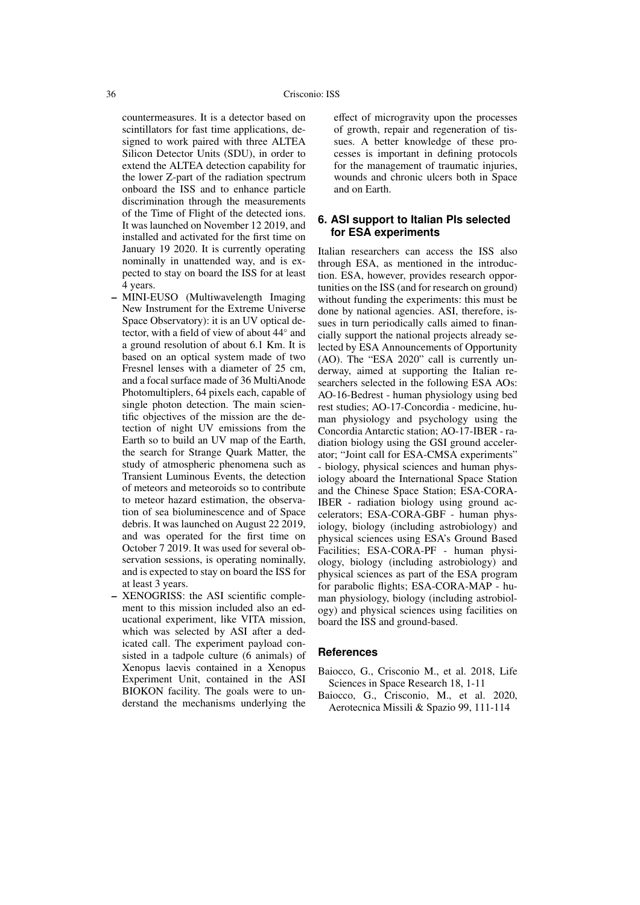countermeasures. It is a detector based on scintillators for fast time applications, designed to work paired with three ALTEA Silicon Detector Units (SDU), in order to extend the ALTEA detection capability for the lower Z-part of the radiation spectrum onboard the ISS and to enhance particle discrimination through the measurements of the Time of Flight of the detected ions. It was launched on November 12 2019, and installed and activated for the first time on January 19 2020. It is currently operating nominally in unattended way, and is expected to stay on board the ISS for at least 4 years.

- MINI-EUSO (Multiwavelength Imaging New Instrument for the Extreme Universe Space Observatory): it is an UV optical detector, with a field of view of about 44◦ and a ground resolution of about 6.1 Km. It is based on an optical system made of two Fresnel lenses with a diameter of 25 cm, and a focal surface made of 36 MultiAnode Photomultiplers, 64 pixels each, capable of single photon detection. The main scientific objectives of the mission are the detection of night UV emissions from the Earth so to build an UV map of the Earth, the search for Strange Quark Matter, the study of atmospheric phenomena such as Transient Luminous Events, the detection of meteors and meteoroids so to contribute to meteor hazard estimation, the observation of sea bioluminescence and of Space debris. It was launched on August 22 2019, and was operated for the first time on October 7 2019. It was used for several observation sessions, is operating nominally, and is expected to stay on board the ISS for at least 3 years.
- XENOGRISS: the ASI scientific complement to this mission included also an educational experiment, like VITA mission, which was selected by ASI after a dedicated call. The experiment payload consisted in a tadpole culture (6 animals) of Xenopus laevis contained in a Xenopus Experiment Unit, contained in the ASI BIOKON facility. The goals were to understand the mechanisms underlying the

effect of microgravity upon the processes of growth, repair and regeneration of tissues. A better knowledge of these processes is important in defining protocols for the management of traumatic injuries, wounds and chronic ulcers both in Space and on Earth.

## **6. ASI support to Italian PIs selected for ESA experiments**

Italian researchers can access the ISS also through ESA, as mentioned in the introduction. ESA, however, provides research opportunities on the ISS (and for research on ground) without funding the experiments: this must be done by national agencies. ASI, therefore, issues in turn periodically calls aimed to financially support the national projects already selected by ESA Announcements of Opportunity (AO). The "ESA 2020" call is currently underway, aimed at supporting the Italian researchers selected in the following ESA AOs: AO-16-Bedrest - human physiology using bed rest studies; AO-17-Concordia - medicine, human physiology and psychology using the Concordia Antarctic station; AO-17-IBER - radiation biology using the GSI ground accelerator; "Joint call for ESA-CMSA experiments" - biology, physical sciences and human physiology aboard the International Space Station and the Chinese Space Station; ESA-CORA-IBER - radiation biology using ground accelerators; ESA-CORA-GBF - human physiology, biology (including astrobiology) and physical sciences using ESA's Ground Based Facilities; ESA-CORA-PF - human physiology, biology (including astrobiology) and physical sciences as part of the ESA program for parabolic flights; ESA-CORA-MAP - human physiology, biology (including astrobiology) and physical sciences using facilities on board the ISS and ground-based.

#### **References**

- <span id="page-6-0"></span>Baiocco, G., Crisconio M., et al. 2018, Life Sciences in Space Research 18, 1-11
- <span id="page-6-1"></span>Baiocco, G., Crisconio, M., et al. 2020, Aerotecnica Missili & Spazio 99, 111-114